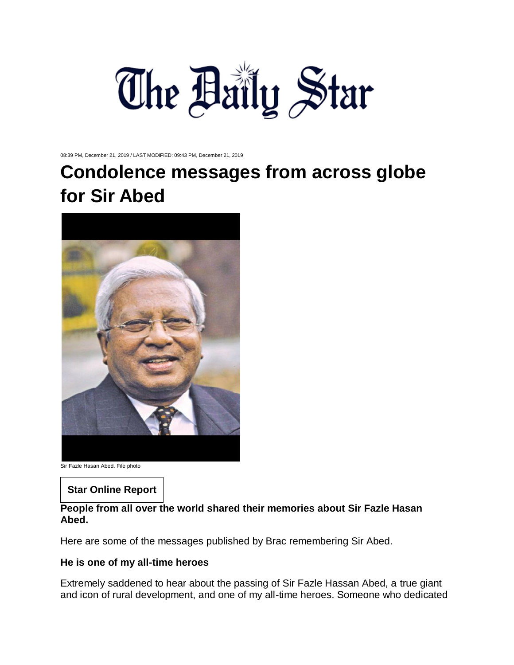

08:39 PM, December 21, 2019 / LAST MODIFIED: 09:43 PM, December 21, 2019

# **Condolence messages from across globe for Sir Abed**



Sir Fazle Hasan Abed. File photo

# **Star Online Report**

# **People from all over the world shared their memories about Sir Fazle Hasan Abed.**

Here are some of the messages published by Brac remembering Sir Abed.

## **He is one of my all-time heroes**

Extremely saddened to hear about the passing of Sir Fazle Hassan Abed, a true giant and icon of rural development, and one of my all-time heroes. Someone who dedicated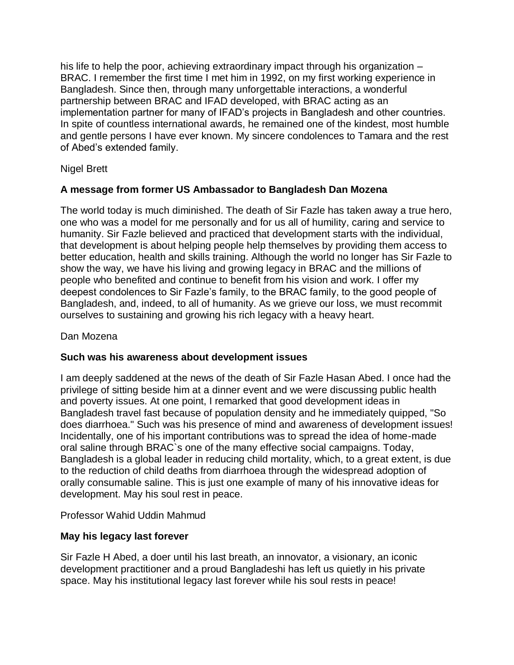his life to help the poor, achieving extraordinary impact through his organization – BRAC. I remember the first time I met him in 1992, on my first working experience in Bangladesh. Since then, through many unforgettable interactions, a wonderful partnership between BRAC and IFAD developed, with BRAC acting as an implementation partner for many of IFAD's projects in Bangladesh and other countries. In spite of countless international awards, he remained one of the kindest, most humble and gentle persons I have ever known. My sincere condolences to Tamara and the rest of Abed's extended family.

Nigel Brett

# **A message from former US Ambassador to Bangladesh Dan Mozena**

The world today is much diminished. The death of Sir Fazle has taken away a true hero, one who was a model for me personally and for us all of humility, caring and service to humanity. Sir Fazle believed and practiced that development starts with the individual, that development is about helping people help themselves by providing them access to better education, health and skills training. Although the world no longer has Sir Fazle to show the way, we have his living and growing legacy in BRAC and the millions of people who benefited and continue to benefit from his vision and work. I offer my deepest condolences to Sir Fazle's family, to the BRAC family, to the good people of Bangladesh, and, indeed, to all of humanity. As we grieve our loss, we must recommit ourselves to sustaining and growing his rich legacy with a heavy heart.

Dan Mozena

# **Such was his awareness about development issues**

I am deeply saddened at the news of the death of Sir Fazle Hasan Abed. I once had the privilege of sitting beside him at a dinner event and we were discussing public health and poverty issues. At one point, I remarked that good development ideas in Bangladesh travel fast because of population density and he immediately quipped, "So does diarrhoea." Such was his presence of mind and awareness of development issues! Incidentally, one of his important contributions was to spread the idea of home-made oral saline through BRAC`s one of the many effective social campaigns. Today, Bangladesh is a global leader in reducing child mortality, which, to a great extent, is due to the reduction of child deaths from diarrhoea through the widespread adoption of orally consumable saline. This is just one example of many of his innovative ideas for development. May his soul rest in peace.

Professor Wahid Uddin Mahmud

# **May his legacy last forever**

Sir Fazle H Abed, a doer until his last breath, an innovator, a visionary, an iconic development practitioner and a proud Bangladeshi has left us quietly in his private space. May his institutional legacy last forever while his soul rests in peace!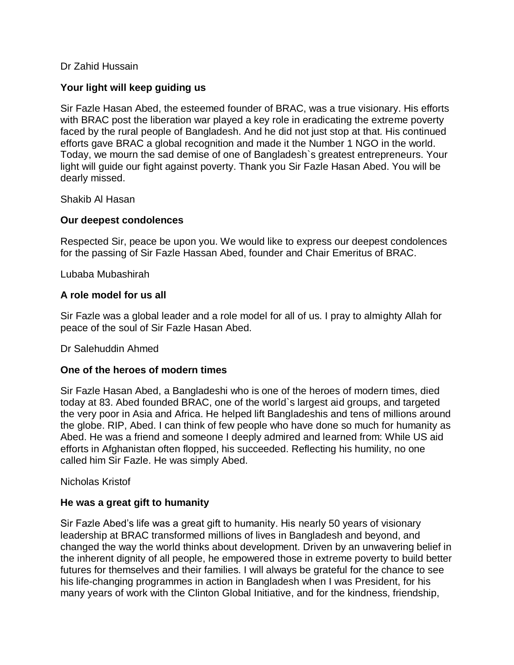## Dr Zahid Hussain

## **Your light will keep guiding us**

Sir Fazle Hasan Abed, the esteemed founder of BRAC, was a true visionary. His efforts with BRAC post the liberation war played a key role in eradicating the extreme poverty faced by the rural people of Bangladesh. And he did not just stop at that. His continued efforts gave BRAC a global recognition and made it the Number 1 NGO in the world. Today, we mourn the sad demise of one of Bangladesh`s greatest entrepreneurs. Your light will guide our fight against poverty. Thank you Sir Fazle Hasan Abed. You will be dearly missed.

Shakib Al Hasan

#### **Our deepest condolences**

Respected Sir, peace be upon you. We would like to express our deepest condolences for the passing of Sir Fazle Hassan Abed, founder and Chair Emeritus of BRAC.

Lubaba Mubashirah

#### **A role model for us all**

Sir Fazle was a global leader and a role model for all of us. I pray to almighty Allah for peace of the soul of Sir Fazle Hasan Abed.

Dr Salehuddin Ahmed

#### **One of the heroes of modern times**

Sir Fazle Hasan Abed, a Bangladeshi who is one of the heroes of modern times, died today at 83. Abed founded BRAC, one of the world`s largest aid groups, and targeted the very poor in Asia and Africa. He helped lift Bangladeshis and tens of millions around the globe. RIP, Abed. I can think of few people who have done so much for humanity as Abed. He was a friend and someone I deeply admired and learned from: While US aid efforts in Afghanistan often flopped, his succeeded. Reflecting his humility, no one called him Sir Fazle. He was simply Abed.

#### Nicholas Kristof

## **He was a great gift to humanity**

Sir Fazle Abed's life was a great gift to humanity. His nearly 50 years of visionary leadership at BRAC transformed millions of lives in Bangladesh and beyond, and changed the way the world thinks about development. Driven by an unwavering belief in the inherent dignity of all people, he empowered those in extreme poverty to build better futures for themselves and their families. I will always be grateful for the chance to see his life-changing programmes in action in Bangladesh when I was President, for his many years of work with the Clinton Global Initiative, and for the kindness, friendship,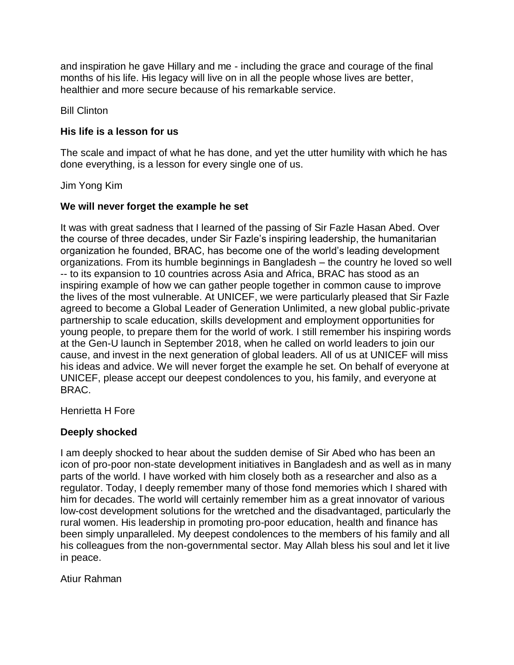and inspiration he gave Hillary and me - including the grace and courage of the final months of his life. His legacy will live on in all the people whose lives are better, healthier and more secure because of his remarkable service.

Bill Clinton

## **His life is a lesson for us**

The scale and impact of what he has done, and yet the utter humility with which he has done everything, is a lesson for every single one of us.

Jim Yong Kim

## **We will never forget the example he set**

It was with great sadness that I learned of the passing of Sir Fazle Hasan Abed. Over the course of three decades, under Sir Fazle's inspiring leadership, the humanitarian organization he founded, BRAC, has become one of the world's leading development organizations. From its humble beginnings in Bangladesh – the country he loved so well -- to its expansion to 10 countries across Asia and Africa, BRAC has stood as an inspiring example of how we can gather people together in common cause to improve the lives of the most vulnerable. At UNICEF, we were particularly pleased that Sir Fazle agreed to become a Global Leader of Generation Unlimited, a new global public-private partnership to scale education, skills development and employment opportunities for young people, to prepare them for the world of work. I still remember his inspiring words at the Gen-U launch in September 2018, when he called on world leaders to join our cause, and invest in the next generation of global leaders. All of us at UNICEF will miss his ideas and advice. We will never forget the example he set. On behalf of everyone at UNICEF, please accept our deepest condolences to you, his family, and everyone at BRAC.

Henrietta H Fore

## **Deeply shocked**

I am deeply shocked to hear about the sudden demise of Sir Abed who has been an icon of pro-poor non-state development initiatives in Bangladesh and as well as in many parts of the world. I have worked with him closely both as a researcher and also as a regulator. Today, I deeply remember many of those fond memories which I shared with him for decades. The world will certainly remember him as a great innovator of various low-cost development solutions for the wretched and the disadvantaged, particularly the rural women. His leadership in promoting pro-poor education, health and finance has been simply unparalleled. My deepest condolences to the members of his family and all his colleagues from the non-governmental sector. May Allah bless his soul and let it live in peace.

Atiur Rahman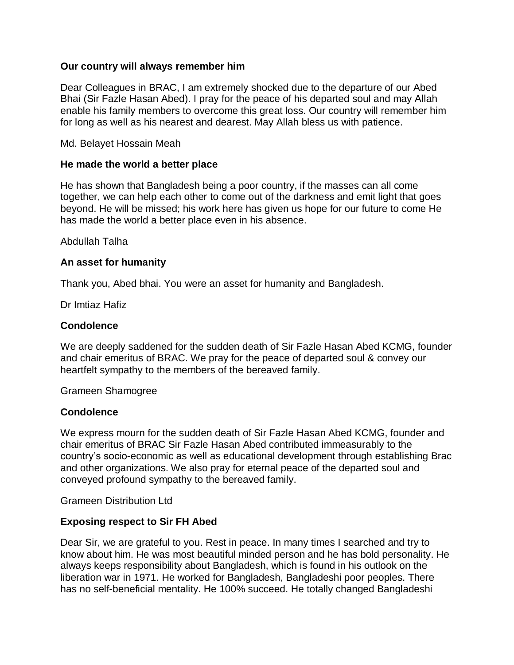#### **Our country will always remember him**

Dear Colleagues in BRAC, I am extremely shocked due to the departure of our Abed Bhai (Sir Fazle Hasan Abed). I pray for the peace of his departed soul and may Allah enable his family members to overcome this great loss. Our country will remember him for long as well as his nearest and dearest. May Allah bless us with patience.

Md. Belayet Hossain Meah

#### **He made the world a better place**

He has shown that Bangladesh being a poor country, if the masses can all come together, we can help each other to come out of the darkness and emit light that goes beyond. He will be missed; his work here has given us hope for our future to come He has made the world a better place even in his absence.

Abdullah Talha

#### **An asset for humanity**

Thank you, Abed bhai. You were an asset for humanity and Bangladesh.

Dr Imtiaz Hafiz

#### **Condolence**

We are deeply saddened for the sudden death of Sir Fazle Hasan Abed KCMG, founder and chair emeritus of BRAC. We pray for the peace of departed soul & convey our heartfelt sympathy to the members of the bereaved family.

Grameen Shamogree

#### **Condolence**

We express mourn for the sudden death of Sir Fazle Hasan Abed KCMG, founder and chair emeritus of BRAC Sir Fazle Hasan Abed contributed immeasurably to the country's socio-economic as well as educational development through establishing Brac and other organizations. We also pray for eternal peace of the departed soul and conveyed profound sympathy to the bereaved family.

Grameen Distribution Ltd

#### **Exposing respect to Sir FH Abed**

Dear Sir, we are grateful to you. Rest in peace. In many times I searched and try to know about him. He was most beautiful minded person and he has bold personality. He always keeps responsibility about Bangladesh, which is found in his outlook on the liberation war in 1971. He worked for Bangladesh, Bangladeshi poor peoples. There has no self-beneficial mentality. He 100% succeed. He totally changed Bangladeshi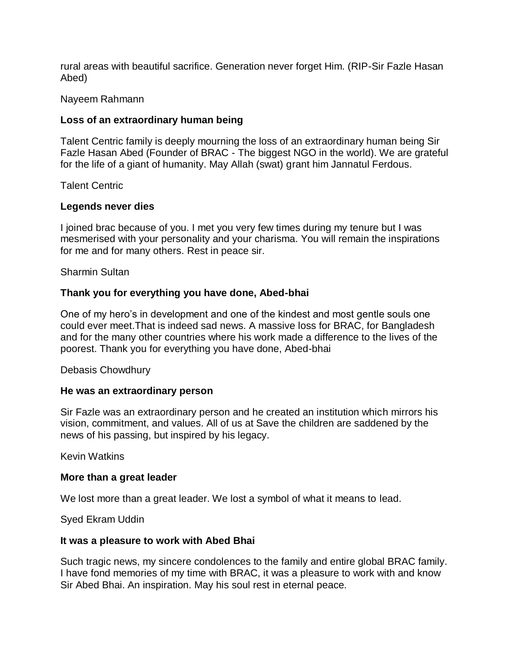rural areas with beautiful sacrifice. Generation never forget Him. (RIP-Sir Fazle Hasan Abed)

#### Nayeem Rahmann

## **Loss of an extraordinary human being**

Talent Centric family is deeply mourning the loss of an extraordinary human being Sir Fazle Hasan Abed (Founder of BRAC - The biggest NGO in the world). We are grateful for the life of a giant of humanity. May Allah (swat) grant him Jannatul Ferdous.

Talent Centric

#### **Legends never dies**

I joined brac because of you. I met you very few times during my tenure but I was mesmerised with your personality and your charisma. You will remain the inspirations for me and for many others. Rest in peace sir.

Sharmin Sultan

## **Thank you for everything you have done, Abed-bhai**

One of my hero's in development and one of the kindest and most gentle souls one could ever meet.That is indeed sad news. A massive loss for BRAC, for Bangladesh and for the many other countries where his work made a difference to the lives of the poorest. Thank you for everything you have done, Abed-bhai

#### Debasis Chowdhury

#### **He was an extraordinary person**

Sir Fazle was an extraordinary person and he created an institution which mirrors his vision, commitment, and values. All of us at Save the children are saddened by the news of his passing, but inspired by his legacy.

Kevin Watkins

#### **More than a great leader**

We lost more than a great leader. We lost a symbol of what it means to lead.

Syed Ekram Uddin

#### **It was a pleasure to work with Abed Bhai**

Such tragic news, my sincere condolences to the family and entire global BRAC family. I have fond memories of my time with BRAC, it was a pleasure to work with and know Sir Abed Bhai. An inspiration. May his soul rest in eternal peace.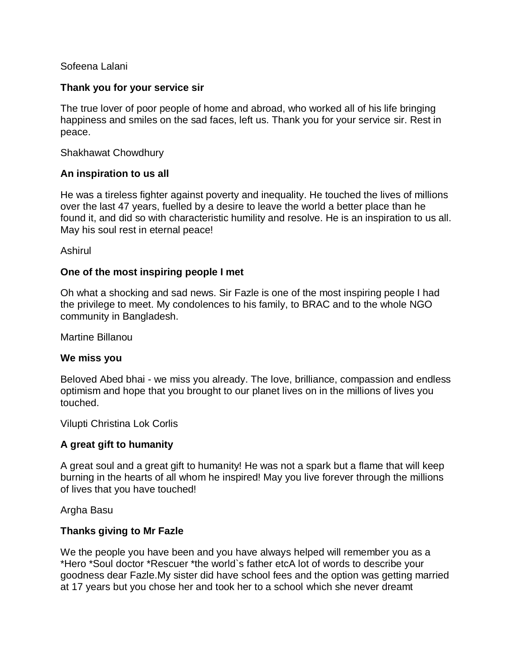## Sofeena Lalani

#### **Thank you for your service sir**

The true lover of poor people of home and abroad, who worked all of his life bringing happiness and smiles on the sad faces, left us. Thank you for your service sir. Rest in peace.

Shakhawat Chowdhury

#### **An inspiration to us all**

He was a tireless fighter against poverty and inequality. He touched the lives of millions over the last 47 years, fuelled by a desire to leave the world a better place than he found it, and did so with characteristic humility and resolve. He is an inspiration to us all. May his soul rest in eternal peace!

Ashirul

#### **One of the most inspiring people I met**

Oh what a shocking and sad news. Sir Fazle is one of the most inspiring people I had the privilege to meet. My condolences to his family, to BRAC and to the whole NGO community in Bangladesh.

Martine Billanou

#### **We miss you**

Beloved Abed bhai - we miss you already. The love, brilliance, compassion and endless optimism and hope that you brought to our planet lives on in the millions of lives you touched.

Vilupti Christina Lok Corlis

#### **A great gift to humanity**

A great soul and a great gift to humanity! He was not a spark but a flame that will keep burning in the hearts of all whom he inspired! May you live forever through the millions of lives that you have touched!

Argha Basu

#### **Thanks giving to Mr Fazle**

We the people you have been and you have always helped will remember you as a \*Hero \*Soul doctor \*Rescuer \*the world`s father etcA lot of words to describe your goodness dear Fazle.My sister did have school fees and the option was getting married at 17 years but you chose her and took her to a school which she never dreamt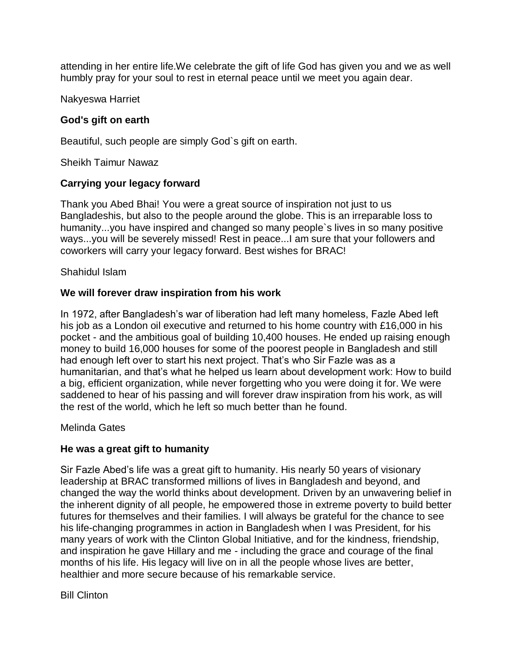attending in her entire life.We celebrate the gift of life God has given you and we as well humbly pray for your soul to rest in eternal peace until we meet you again dear.

Nakyeswa Harriet

## **God's gift on earth**

Beautiful, such people are simply God`s gift on earth.

Sheikh Taimur Nawaz

## **Carrying your legacy forward**

Thank you Abed Bhai! You were a great source of inspiration not just to us Bangladeshis, but also to the people around the globe. This is an irreparable loss to humanity...you have inspired and changed so many people`s lives in so many positive ways...you will be severely missed! Rest in peace...I am sure that your followers and coworkers will carry your legacy forward. Best wishes for BRAC!

Shahidul Islam

# **We will forever draw inspiration from his work**

In 1972, after Bangladesh's war of liberation had left many homeless, Fazle Abed left his job as a London oil executive and returned to his home country with £16,000 in his pocket - and the ambitious goal of building 10,400 houses. He ended up raising enough money to build 16,000 houses for some of the poorest people in Bangladesh and still had enough left over to start his next project. That's who Sir Fazle was as a humanitarian, and that's what he helped us learn about development work: How to build a big, efficient organization, while never forgetting who you were doing it for. We were saddened to hear of his passing and will forever draw inspiration from his work, as will the rest of the world, which he left so much better than he found.

Melinda Gates

## **He was a great gift to humanity**

Sir Fazle Abed's life was a great gift to humanity. His nearly 50 years of visionary leadership at BRAC transformed millions of lives in Bangladesh and beyond, and changed the way the world thinks about development. Driven by an unwavering belief in the inherent dignity of all people, he empowered those in extreme poverty to build better futures for themselves and their families. I will always be grateful for the chance to see his life-changing programmes in action in Bangladesh when I was President, for his many years of work with the Clinton Global Initiative, and for the kindness, friendship, and inspiration he gave Hillary and me - including the grace and courage of the final months of his life. His legacy will live on in all the people whose lives are better, healthier and more secure because of his remarkable service.

Bill Clinton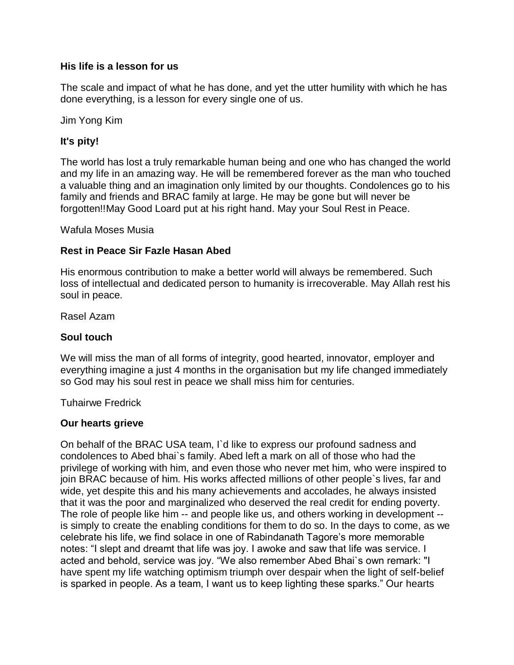## **His life is a lesson for us**

The scale and impact of what he has done, and yet the utter humility with which he has done everything, is a lesson for every single one of us.

Jim Yong Kim

# **It's pity!**

The world has lost a truly remarkable human being and one who has changed the world and my life in an amazing way. He will be remembered forever as the man who touched a valuable thing and an imagination only limited by our thoughts. Condolences go to his family and friends and BRAC family at large. He may be gone but will never be forgotten!!May Good Loard put at his right hand. May your Soul Rest in Peace.

Wafula Moses Musia

## **Rest in Peace Sir Fazle Hasan Abed**

His enormous contribution to make a better world will always be remembered. Such loss of intellectual and dedicated person to humanity is irrecoverable. May Allah rest his soul in peace.

Rasel Azam

## **Soul touch**

We will miss the man of all forms of integrity, good hearted, innovator, employer and everything imagine a just 4 months in the organisation but my life changed immediately so God may his soul rest in peace we shall miss him for centuries.

Tuhairwe Fredrick

## **Our hearts grieve**

On behalf of the BRAC USA team, I`d like to express our profound sadness and condolences to Abed bhai`s family. Abed left a mark on all of those who had the privilege of working with him, and even those who never met him, who were inspired to join BRAC because of him. His works affected millions of other people`s lives, far and wide, yet despite this and his many achievements and accolades, he always insisted that it was the poor and marginalized who deserved the real credit for ending poverty. The role of people like him -- and people like us, and others working in development - is simply to create the enabling conditions for them to do so. In the days to come, as we celebrate his life, we find solace in one of Rabindanath Tagore's more memorable notes: "I slept and dreamt that life was joy. I awoke and saw that life was service. I acted and behold, service was joy. "We also remember Abed Bhai`s own remark: "I have spent my life watching optimism triumph over despair when the light of self-belief is sparked in people. As a team, I want us to keep lighting these sparks." Our hearts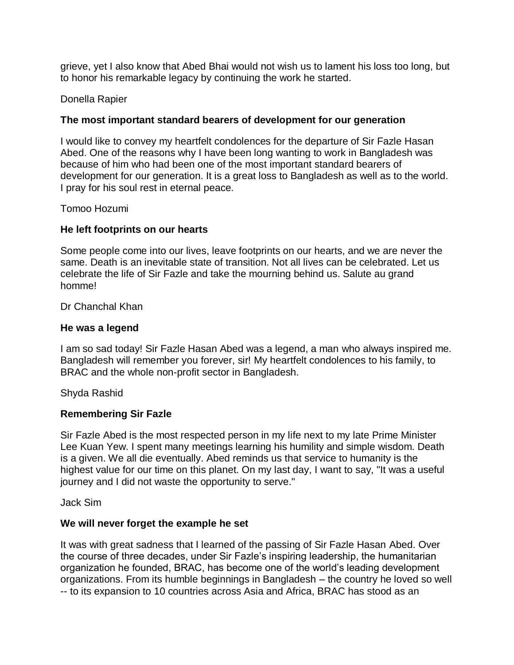grieve, yet I also know that Abed Bhai would not wish us to lament his loss too long, but to honor his remarkable legacy by continuing the work he started.

## Donella Rapier

#### **The most important standard bearers of development for our generation**

I would like to convey my heartfelt condolences for the departure of Sir Fazle Hasan Abed. One of the reasons why I have been long wanting to work in Bangladesh was because of him who had been one of the most important standard bearers of development for our generation. It is a great loss to Bangladesh as well as to the world. I pray for his soul rest in eternal peace.

#### Tomoo Hozumi

#### **He left footprints on our hearts**

Some people come into our lives, leave footprints on our hearts, and we are never the same. Death is an inevitable state of transition. Not all lives can be celebrated. Let us celebrate the life of Sir Fazle and take the mourning behind us. Salute au grand homme!

Dr Chanchal Khan

#### **He was a legend**

I am so sad today! Sir Fazle Hasan Abed was a legend, a man who always inspired me. Bangladesh will remember you forever, sir! My heartfelt condolences to his family, to BRAC and the whole non-profit sector in Bangladesh.

Shyda Rashid

#### **Remembering Sir Fazle**

Sir Fazle Abed is the most respected person in my life next to my late Prime Minister Lee Kuan Yew. I spent many meetings learning his humility and simple wisdom. Death is a given. We all die eventually. Abed reminds us that service to humanity is the highest value for our time on this planet. On my last day, I want to say, "It was a useful journey and I did not waste the opportunity to serve."

Jack Sim

#### **We will never forget the example he set**

It was with great sadness that I learned of the passing of Sir Fazle Hasan Abed. Over the course of three decades, under Sir Fazle's inspiring leadership, the humanitarian organization he founded, BRAC, has become one of the world's leading development organizations. From its humble beginnings in Bangladesh – the country he loved so well -- to its expansion to 10 countries across Asia and Africa, BRAC has stood as an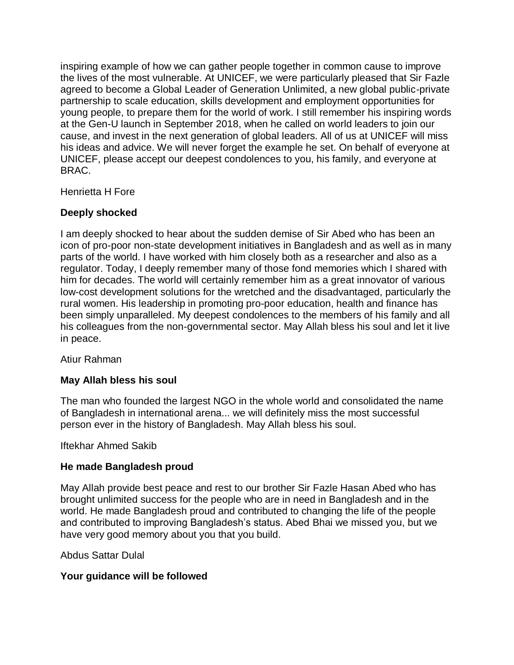inspiring example of how we can gather people together in common cause to improve the lives of the most vulnerable. At UNICEF, we were particularly pleased that Sir Fazle agreed to become a Global Leader of Generation Unlimited, a new global public-private partnership to scale education, skills development and employment opportunities for young people, to prepare them for the world of work. I still remember his inspiring words at the Gen-U launch in September 2018, when he called on world leaders to join our cause, and invest in the next generation of global leaders. All of us at UNICEF will miss his ideas and advice. We will never forget the example he set. On behalf of everyone at UNICEF, please accept our deepest condolences to you, his family, and everyone at BRAC.

Henrietta H Fore

# **Deeply shocked**

I am deeply shocked to hear about the sudden demise of Sir Abed who has been an icon of pro-poor non-state development initiatives in Bangladesh and as well as in many parts of the world. I have worked with him closely both as a researcher and also as a regulator. Today, I deeply remember many of those fond memories which I shared with him for decades. The world will certainly remember him as a great innovator of various low-cost development solutions for the wretched and the disadvantaged, particularly the rural women. His leadership in promoting pro-poor education, health and finance has been simply unparalleled. My deepest condolences to the members of his family and all his colleagues from the non-governmental sector. May Allah bless his soul and let it live in peace.

Atiur Rahman

## **May Allah bless his soul**

The man who founded the largest NGO in the whole world and consolidated the name of Bangladesh in international arena... we will definitely miss the most successful person ever in the history of Bangladesh. May Allah bless his soul.

Iftekhar Ahmed Sakib

## **He made Bangladesh proud**

May Allah provide best peace and rest to our brother Sir Fazle Hasan Abed who has brought unlimited success for the people who are in need in Bangladesh and in the world. He made Bangladesh proud and contributed to changing the life of the people and contributed to improving Bangladesh's status. Abed Bhai we missed you, but we have very good memory about you that you build.

Abdus Sattar Dulal

## **Your guidance will be followed**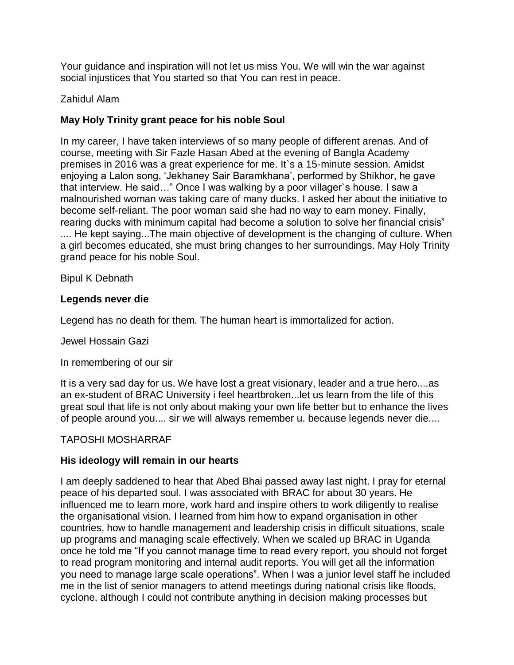Your guidance and inspiration will not let us miss You. We will win the war against social injustices that You started so that You can rest in peace.

## Zahidul Alam

# **May Holy Trinity grant peace for his noble Soul**

In my career, I have taken interviews of so many people of different arenas. And of course, meeting with Sir Fazle Hasan Abed at the evening of Bangla Academy premises in 2016 was a great experience for me. It`s a 15-minute session. Amidst enjoying a Lalon song, 'Jekhaney Sair Baramkhana', performed by Shikhor, he gave that interview. He said…" Once I was walking by a poor villager`s house. I saw a malnourished woman was taking care of many ducks. I asked her about the initiative to become self-reliant. The poor woman said she had no way to earn money. Finally, rearing ducks with minimum capital had become a solution to solve her financial crisis" .... He kept saying...The main objective of development is the changing of culture. When a girl becomes educated, she must bring changes to her surroundings. May Holy Trinity grand peace for his noble Soul.

Bipul K Debnath

#### **Legends never die**

Legend has no death for them. The human heart is immortalized for action.

Jewel Hossain Gazi

In remembering of our sir

It is a very sad day for us. We have lost a great visionary, leader and a true hero....as an ex-student of BRAC University i feel heartbroken...let us learn from the life of this great soul that life is not only about making your own life better but to enhance the lives of people around you.... sir we will always remember u. because legends never die....

## TAPOSHI MOSHARRAF

## **His ideology will remain in our hearts**

I am deeply saddened to hear that Abed Bhai passed away last night. I pray for eternal peace of his departed soul. I was associated with BRAC for about 30 years. He influenced me to learn more, work hard and inspire others to work diligently to realise the organisational vision. I learned from him how to expand organisation in other countries, how to handle management and leadership crisis in difficult situations, scale up programs and managing scale effectively. When we scaled up BRAC in Uganda once he told me "If you cannot manage time to read every report, you should not forget to read program monitoring and internal audit reports. You will get all the information you need to manage large scale operations". When I was a junior level staff he included me in the list of senior managers to attend meetings during national crisis like floods, cyclone, although I could not contribute anything in decision making processes but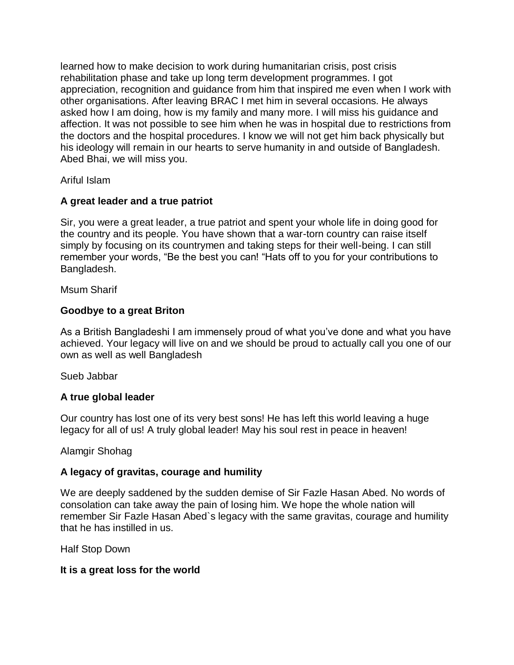learned how to make decision to work during humanitarian crisis, post crisis rehabilitation phase and take up long term development programmes. I got appreciation, recognition and guidance from him that inspired me even when I work with other organisations. After leaving BRAC I met him in several occasions. He always asked how I am doing, how is my family and many more. I will miss his guidance and affection. It was not possible to see him when he was in hospital due to restrictions from the doctors and the hospital procedures. I know we will not get him back physically but his ideology will remain in our hearts to serve humanity in and outside of Bangladesh. Abed Bhai, we will miss you.

Ariful Islam

# **A great leader and a true patriot**

Sir, you were a great leader, a true patriot and spent your whole life in doing good for the country and its people. You have shown that a war-torn country can raise itself simply by focusing on its countrymen and taking steps for their well-being. I can still remember your words, "Be the best you can! "Hats off to you for your contributions to Bangladesh.

Msum Sharif

# **Goodbye to a great Briton**

As a British Bangladeshi I am immensely proud of what you've done and what you have achieved. Your legacy will live on and we should be proud to actually call you one of our own as well as well Bangladesh

Sueb Jabbar

# **A true global leader**

Our country has lost one of its very best sons! He has left this world leaving a huge legacy for all of us! A truly global leader! May his soul rest in peace in heaven!

## Alamgir Shohag

## **A legacy of gravitas, courage and humility**

We are deeply saddened by the sudden demise of Sir Fazle Hasan Abed. No words of consolation can take away the pain of losing him. We hope the whole nation will remember Sir Fazle Hasan Abed`s legacy with the same gravitas, courage and humility that he has instilled in us.

Half Stop Down

## **It is a great loss for the world**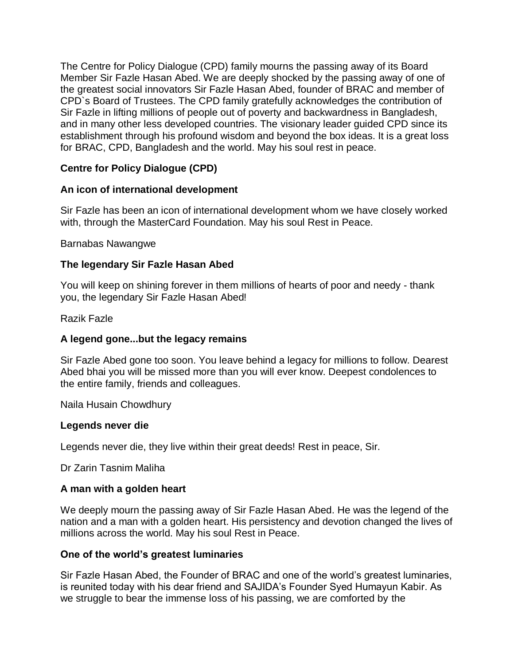The Centre for Policy Dialogue (CPD) family mourns the passing away of its Board Member Sir Fazle Hasan Abed. We are deeply shocked by the passing away of one of the greatest social innovators Sir Fazle Hasan Abed, founder of BRAC and member of CPD`s Board of Trustees. The CPD family gratefully acknowledges the contribution of Sir Fazle in lifting millions of people out of poverty and backwardness in Bangladesh, and in many other less developed countries. The visionary leader guided CPD since its establishment through his profound wisdom and beyond the box ideas. It is a great loss for BRAC, CPD, Bangladesh and the world. May his soul rest in peace.

# **Centre for Policy Dialogue (CPD)**

## **An icon of international development**

Sir Fazle has been an icon of international development whom we have closely worked with, through the MasterCard Foundation. May his soul Rest in Peace.

#### Barnabas Nawangwe

## **The legendary Sir Fazle Hasan Abed**

You will keep on shining forever in them millions of hearts of poor and needy - thank you, the legendary Sir Fazle Hasan Abed!

#### Razik Fazle

## **A legend gone...but the legacy remains**

Sir Fazle Abed gone too soon. You leave behind a legacy for millions to follow. Dearest Abed bhai you will be missed more than you will ever know. Deepest condolences to the entire family, friends and colleagues.

Naila Husain Chowdhury

#### **Legends never die**

Legends never die, they live within their great deeds! Rest in peace, Sir.

Dr Zarin Tasnim Maliha

#### **A man with a golden heart**

We deeply mourn the passing away of Sir Fazle Hasan Abed. He was the legend of the nation and a man with a golden heart. His persistency and devotion changed the lives of millions across the world. May his soul Rest in Peace.

#### **One of the world's greatest luminaries**

Sir Fazle Hasan Abed, the Founder of BRAC and one of the world's greatest luminaries, is reunited today with his dear friend and SAJIDA's Founder Syed Humayun Kabir. As we struggle to bear the immense loss of his passing, we are comforted by the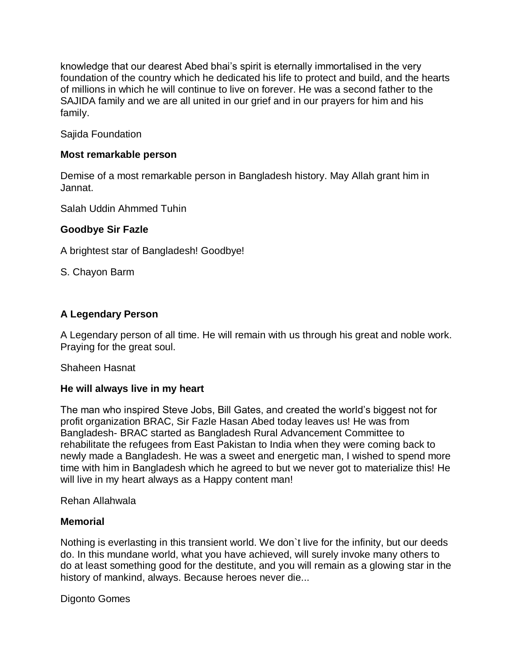knowledge that our dearest Abed bhai's spirit is eternally immortalised in the very foundation of the country which he dedicated his life to protect and build, and the hearts of millions in which he will continue to live on forever. He was a second father to the SAJIDA family and we are all united in our grief and in our prayers for him and his family.

Sajida Foundation

## **Most remarkable person**

Demise of a most remarkable person in Bangladesh history. May Allah grant him in Jannat.

Salah Uddin Ahmmed Tuhin

## **Goodbye Sir Fazle**

A brightest star of Bangladesh! Goodbye!

S. Chayon Barm

# **A Legendary Person**

A Legendary person of all time. He will remain with us through his great and noble work. Praying for the great soul.

Shaheen Hasnat

## **He will always live in my heart**

The man who inspired Steve Jobs, Bill Gates, and created the world's biggest not for profit organization BRAC, Sir Fazle Hasan Abed today leaves us! He was from Bangladesh- BRAC started as Bangladesh Rural Advancement Committee to rehabilitate the refugees from East Pakistan to India when they were coming back to newly made a Bangladesh. He was a sweet and energetic man, I wished to spend more time with him in Bangladesh which he agreed to but we never got to materialize this! He will live in my heart always as a Happy content man!

Rehan Allahwala

## **Memorial**

Nothing is everlasting in this transient world. We don`t live for the infinity, but our deeds do. In this mundane world, what you have achieved, will surely invoke many others to do at least something good for the destitute, and you will remain as a glowing star in the history of mankind, always. Because heroes never die...

Digonto Gomes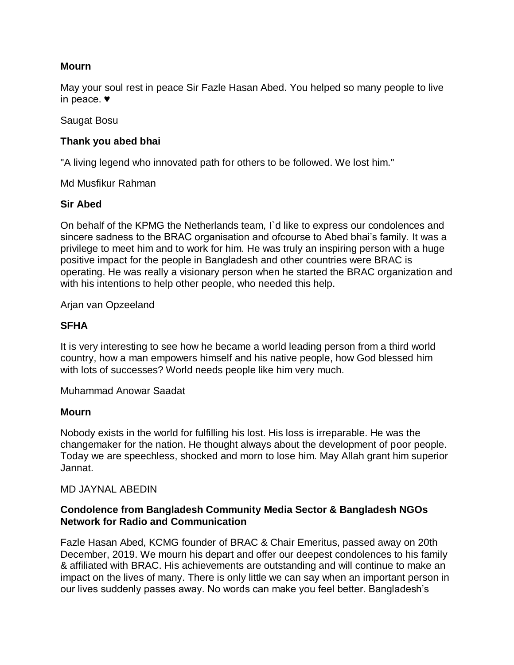# **Mourn**

May your soul rest in peace Sir Fazle Hasan Abed. You helped so many people to live in peace. ♥

Saugat Bosu

# **Thank you abed bhai**

"A living legend who innovated path for others to be followed. We lost him."

Md Musfikur Rahman

# **Sir Abed**

On behalf of the KPMG the Netherlands team, I`d like to express our condolences and sincere sadness to the BRAC organisation and ofcourse to Abed bhai's family. It was a privilege to meet him and to work for him. He was truly an inspiring person with a huge positive impact for the people in Bangladesh and other countries were BRAC is operating. He was really a visionary person when he started the BRAC organization and with his intentions to help other people, who needed this help.

Arjan van Opzeeland

# **SFHA**

It is very interesting to see how he became a world leading person from a third world country, how a man empowers himself and his native people, how God blessed him with lots of successes? World needs people like him very much.

Muhammad Anowar Saadat

## **Mourn**

Nobody exists in the world for fulfilling his lost. His loss is irreparable. He was the changemaker for the nation. He thought always about the development of poor people. Today we are speechless, shocked and morn to lose him. May Allah grant him superior Jannat.

## MD JAYNAL ABEDIN

# **Condolence from Bangladesh Community Media Sector & Bangladesh NGOs Network for Radio and Communication**

Fazle Hasan Abed, KCMG founder of BRAC & Chair Emeritus, passed away on 20th December, 2019. We mourn his depart and offer our deepest condolences to his family & affiliated with BRAC. His achievements are outstanding and will continue to make an impact on the lives of many. There is only little we can say when an important person in our lives suddenly passes away. No words can make you feel better. Bangladesh's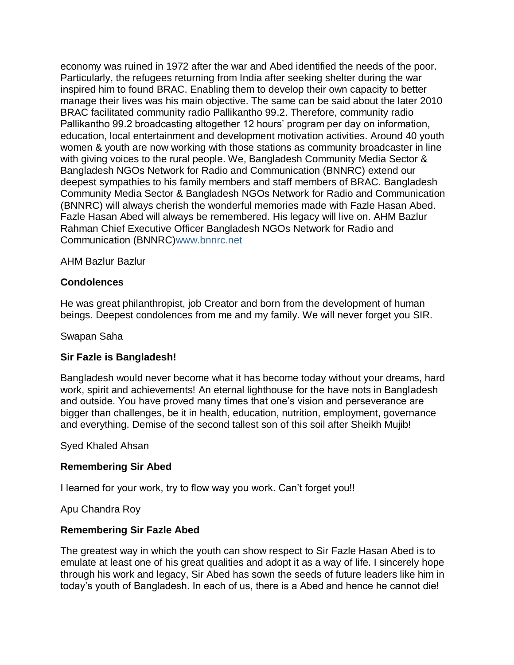economy was ruined in 1972 after the war and Abed identified the needs of the poor. Particularly, the refugees returning from India after seeking shelter during the war inspired him to found BRAC. Enabling them to develop their own capacity to better manage their lives was his main objective. The same can be said about the later 2010 BRAC facilitated community radio Pallikantho 99.2. Therefore, community radio Pallikantho 99.2 broadcasting altogether 12 hours' program per day on information, education, local entertainment and development motivation activities. Around 40 youth women & youth are now working with those stations as community broadcaster in line with giving voices to the rural people. We, Bangladesh Community Media Sector & Bangladesh NGOs Network for Radio and Communication (BNNRC) extend our deepest sympathies to his family members and staff members of BRAC. Bangladesh Community Media Sector & Bangladesh NGOs Network for Radio and Communication (BNNRC) will always cherish the wonderful memories made with Fazle Hasan Abed. Fazle Hasan Abed will always be remembered. His legacy will live on. AHM Bazlur Rahman Chief Executive Officer Bangladesh NGOs Network for Radio and Communication (BNNRC[\)www.bnnrc.net](http://www.bnnrc.net/)

#### AHM Bazlur Bazlur

#### **Condolences**

He was great philanthropist, job Creator and born from the development of human beings. Deepest condolences from me and my family. We will never forget you SIR.

Swapan Saha

#### **Sir Fazle is Bangladesh!**

Bangladesh would never become what it has become today without your dreams, hard work, spirit and achievements! An eternal lighthouse for the have nots in Bangladesh and outside. You have proved many times that one's vision and perseverance are bigger than challenges, be it in health, education, nutrition, employment, governance and everything. Demise of the second tallest son of this soil after Sheikh Mujib!

Syed Khaled Ahsan

#### **Remembering Sir Abed**

I learned for your work, try to flow way you work. Can't forget you!!

Apu Chandra Roy

#### **Remembering Sir Fazle Abed**

The greatest way in which the youth can show respect to Sir Fazle Hasan Abed is to emulate at least one of his great qualities and adopt it as a way of life. I sincerely hope through his work and legacy, Sir Abed has sown the seeds of future leaders like him in today's youth of Bangladesh. In each of us, there is a Abed and hence he cannot die!